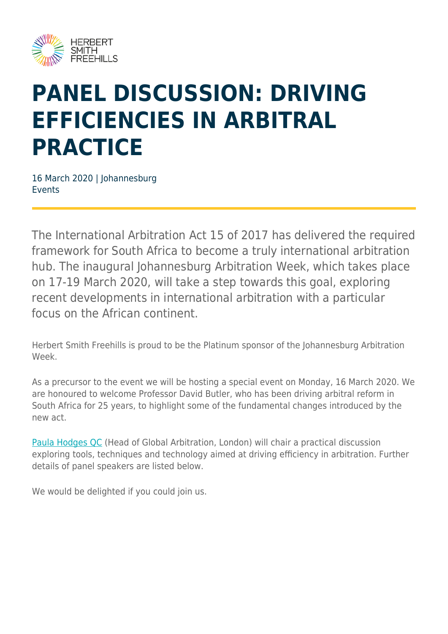

# **PANEL DISCUSSION: DRIVING EFFICIENCIES IN ARBITRAL PRACTICE**

16 March 2020 | Johannesburg Events

The International Arbitration Act 15 of 2017 has delivered the required framework for South Africa to become a truly international arbitration hub. The inaugural Johannesburg Arbitration Week, which takes place on 17-19 March 2020, will take a step towards this goal, exploring recent developments in international arbitration with a particular focus on the African continent.

Herbert Smith Freehills is proud to be the Platinum sponsor of the Johannesburg Arbitration Week.

As a precursor to the event we will be hosting a special event on Monday, 16 March 2020. We are honoured to welcome Professor David Butler, who has been driving arbitral reform in South Africa for 25 years, to highlight some of the fundamental changes introduced by the new act.

[Paula Hodges QC](https://www.herbertsmithfreehills.com/our-people/paula-hodges-qc) (Head of Global Arbitration, London) will chair a practical discussion exploring tools, techniques and technology aimed at driving efficiency in arbitration. Further details of panel speakers are listed below.

We would be delighted if you could join us.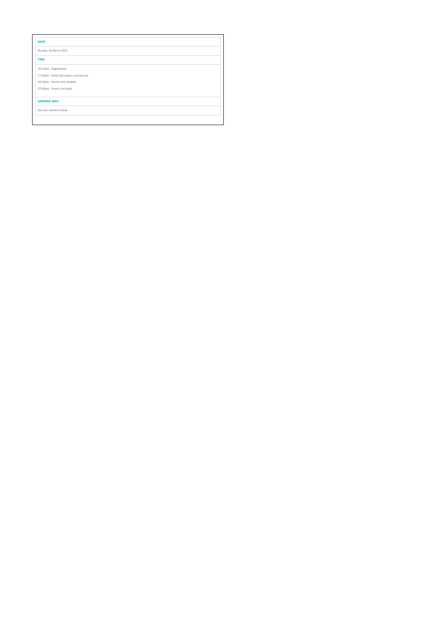| <b>DATE</b>                          |
|--------------------------------------|
| Monday 16 March 2020                 |
| <b>TIME</b>                          |
| 16:15pm - Registration               |
| 17:00pm - Panel discussion commences |
| 18:30pm - Drinks and canapés         |
| 22:00pm - Event concludes            |
| <b>SPEAKER INFO</b>                  |
| See key contacts below               |
|                                      |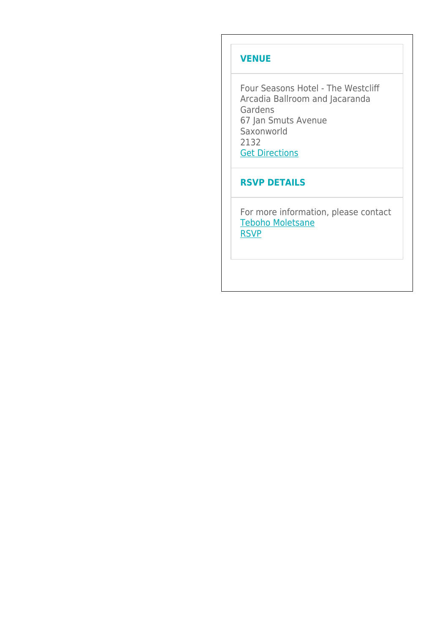#### **VENUE**

Four Seasons Hotel - The Westcliff Arcadia Ballroom and Jacaranda Gardens 67 Jan Smuts Avenue Saxonworld 2132 **[Get Directions](https://www.google.com/maps/place/Four+Seasons+Hotel+The+Westcliff,+Johannesburg/@-26.171,28.0298596,17z/data=!3m1!4b1!4m8!3m7!1s0x1e950c8e67025b7f:0xee55480f81adeff!5m2!4m1!1i2!8m2!3d-26.171!4d28.0320483)** 

#### **RSVP DETAILS**

For more information, please contact [Teboho Moletsane](mailto:Teboho.Moletsane@hsf.com) [RSVP](mailto:Teboho.Moletsane@hsf.com?subject=Invitation%3A%20Panel%20Discussion%3A%20Driving%20efficiencies%20in%20arbitral%20practice%20-%20Monday%2016%20March%202020)